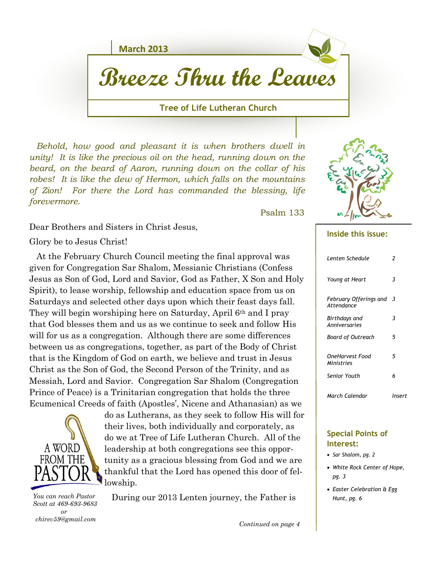**March 2013**

# **Breeze Thru the Leaves**

#### **Tree of Life Lutheran Church**

 *Behold, how good and pleasant it is when brothers dwell in unity! It is like the precious oil on the head, running down on the beard, on the beard of Aaron, running down on the collar of his robes! It is like the dew of Hermon, which falls on the mountains of Zion! For there the Lord has commanded the blessing, life forevermore.* 

Psalm 133

Dear Brothers and Sisters in Christ Jesus,

Glory be to Jesus Christ!

 At the February Church Council meeting the final approval was given for Congregation Sar Shalom, Messianic Christians (Confess Jesus as Son of God, Lord and Savior, God as Father, X Son and Holy Spirit), to lease worship, fellowship and education space from us on Saturdays and selected other days upon which their feast days fall. They will begin worshiping here on Saturday, April 6th and I pray that God blesses them and us as we continue to seek and follow His will for us as a congregation. Although there are some differences between us as congregations, together, as part of the Body of Christ that is the Kingdom of God on earth, we believe and trust in Jesus Christ as the Son of God, the Second Person of the Trinity, and as Messiah, Lord and Savior. Congregation Sar Shalom (Congregation Prince of Peace) is a Trinitarian congregation that holds the three Ecumenical Creeds of faith (Apostles', Nicene and Athanasian) as we



do as Lutherans, as they seek to follow His will for their lives, both individually and corporately, as do we at Tree of Life Lutheran Church. All of the leadership at both congregations see this opportunity as a gracious blessing from God and we are thankful that the Lord has opened this door of fellowship.

 *Scott at 469-693-9683 or chirev59@gmail.com*

During our 2013 Lenten journey, the Father is *You can reach Pastor* 



#### **Inside this issue:**

| Lenten Schedule                      | 2      |
|--------------------------------------|--------|
| Young at Heart                       | 3      |
| February Offerings and<br>Attendance | 3      |
| Birthdays and<br>Anniversaries       | 3      |
| Board of Outreach                    | 5      |
| OneHarvest Food<br>Ministries        | 5      |
| Senior Youth                         | 6      |
| March Calendar                       | Insert |

#### **Special Points of Interest:**

- *Sar Shalom, pg. 2*
- *White Rock Center of Hope, pg. 3*
- *Easter Celebration & Egg Hunt, pg. 6*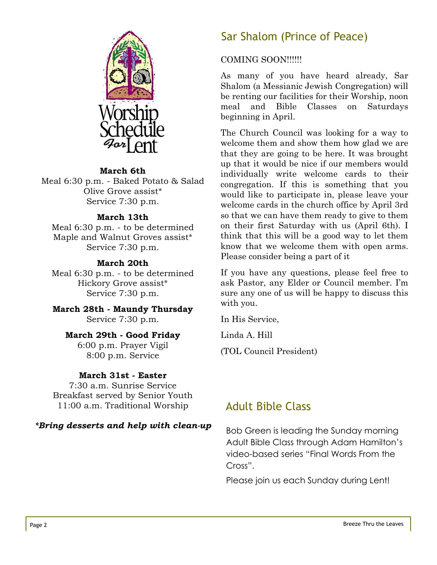

#### **March 6th**

Meal 6:30 p.m. - Baked Potato & Salad Olive Grove assist\* Service 7:30 p.m.

#### **March 13th**

Meal 6:30 p.m. - to be determined Maple and Walnut Groves assist\* Service 7:30 p.m.

#### **March 20th**

Meal 6:30 p.m. - to be determined Hickory Grove assist\* Service 7:30 p.m.

**March 28th - Maundy Thursday** Service 7:30 p.m.

#### **March 29th - Good Friday**

6:00 p.m. Prayer Vigil 8:00 p.m. Service

#### **March 31st - Easter**

7:30 a.m. Sunrise Service Breakfast served by Senior Youth 11:00 a.m. Traditional Worship

## *\*Bring desserts and help with clean-up*

## Sar Shalom (Prince of Peace)

#### COMING SOON!!!!!!

As many of you have heard already, Sar Shalom (a Messianic Jewish Congregation) will be renting our facilities for their Worship, noon meal and Bible Classes on Saturdays beginning in April.

The Church Council was looking for a way to welcome them and show them how glad we are that they are going to be here. It was brought up that it would be nice if our members would individually write welcome cards to their congregation. If this is something that you would like to participate in, please leave your welcome cards in the church office by April 3rd so that we can have them ready to give to them on their first Saturday with us (April 6th). I think that this will be a good way to let them know that we welcome them with open arms. Please consider being a part of it

If you have any questions, please feel free to ask Pastor, any Elder or Council member. I'm sure any one of us will be happy to discuss this with you.

In His Service,

Linda A. Hill

(TOL Council President)

## Adult Bible Class

Bob Green is leading the Sunday morning Adult Bible Class through Adam Hamilton's video-based series "Final Words From the Cross".

Please join us each Sunday during Lent!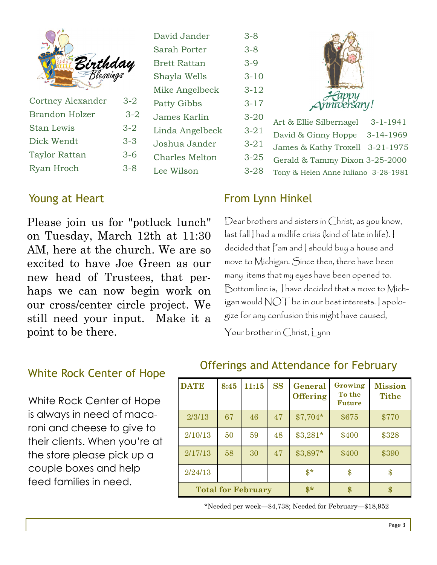|  | <b>Birthday</b><br>Blessings |
|--|------------------------------|
|  |                              |

| <b>Cortney Alexander</b> | $3-2$   |
|--------------------------|---------|
| <b>Brandon Holzer</b>    | $3 - 2$ |
| <b>Stan Lewis</b>        | $3 - 2$ |
| Dick Wendt               | $3 - 3$ |
| <b>Taylor Rattan</b>     | $3-6$   |
| Ryan Hroch               | $3 - 8$ |

## David Jander 3-8 Sarah Porter 3-8 Brett Rattan 3-9 Shayla Wells 3-10 Mike Angelbeck 3-12 Patty Gibbs 3-17 James Karlin 3-20 Linda Angelbeck 3-21 Joshua Jander 3-21 Charles Melton 3-25 Lee Wilson 3-28

## Young at Heart

Please join us for "potluck lunch" on Tuesday, March 12th at 11:30 AM, here at the church. We are so excited to have Joe Green as our new head of Trustees, that perhaps we can now begin work on our cross/center circle project. We still need your input. Make it a point to be there.

# Jappy *mnveršary!* Art & Ellie Silbernagel 3-1-1941 David & Ginny Hoppe 3-14-1969 James & Kathy Troxell 3-21-1975 Gerald & Tammy Dixon 3-25-2000 Tony & Helen Anne Iuliano 3-28-1981

## From Lynn Hinkel

Dear brothers and sisters in Christ, as you know, last fall I had a midlife crisis (kind of late in life). I decided that Pam and I should buy a house and move to Michigan. Since then, there have been many items that my eyes have been opened to. Bottom line is, I have decided that a move to Michigan would NOT be in our best interests. I apologize for any confusion this might have caused,

Your brother in Christ, Lynn

## White Rock Center of Hope

White Rock Center of Hope is always in need of macaroni and cheese to give to their clients. When you're at the store please pick up a couple boxes and help feed families in need.

## Offerings and Attendance for February

| <b>DATE</b>               | 8:45 | 11:15           | <b>SS</b> | General<br><b>Offering</b> | Growing<br>To the<br><b>Future</b> | <b>Mission</b><br><b>Tithe</b> |
|---------------------------|------|-----------------|-----------|----------------------------|------------------------------------|--------------------------------|
| 2/3/13                    | 67   | 46              | 47        | $$7,704*$                  | \$675                              | \$770                          |
| 2/10/13                   | 50   | 59              | 48        | $$3,281*$                  | \$400                              | \$328                          |
| 2/17/13                   | 58   | 30              | 47        | \$3,897*                   | \$400                              | \$390                          |
| 2/24/13                   |      |                 |           | $$*$                       | \$                                 | \$                             |
| <b>Total for February</b> |      | $\mathbf{\$}^*$ | \$.       | \$                         |                                    |                                |

\*Needed per week—\$4,738; Needed for February—\$18,952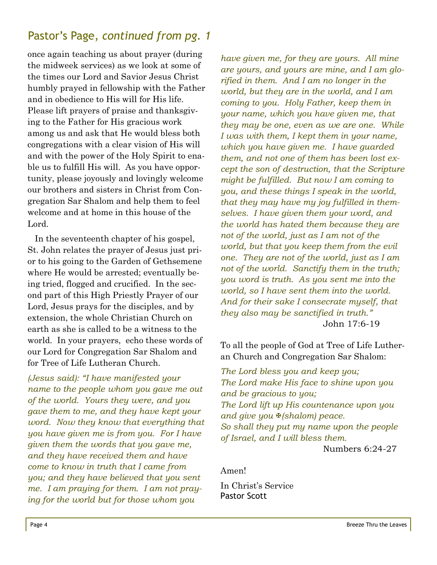## Pastor's Page, *continued from pg. 1*

once again teaching us about prayer (during the midweek services) as we look at some of the times our Lord and Savior Jesus Christ humbly prayed in fellowship with the Father and in obedience to His will for His life. Please lift prayers of praise and thanksgiving to the Father for His gracious work among us and ask that He would bless both congregations with a clear vision of His will and with the power of the Holy Spirit to enable us to fulfill His will. As you have opportunity, please joyously and lovingly welcome our brothers and sisters in Christ from Congregation Sar Shalom and help them to feel welcome and at home in this house of the Lord.

 In the seventeenth chapter of his gospel, St. John relates the prayer of Jesus just prior to his going to the Garden of Gethsemene where He would be arrested; eventually being tried, flogged and crucified. In the second part of this High Priestly Prayer of our Lord, Jesus prays for the disciples, and by extension, the whole Christian Church on earth as she is called to be a witness to the world. In your prayers, echo these words of our Lord for Congregation Sar Shalom and for Tree of Life Lutheran Church.

*(Jesus said): "I have manifested your name to the people whom you gave me out of the world. Yours they were, and you gave them to me, and they have kept your word. Now they know that everything that you have given me is from you. For I have given them the words that you gave me, and they have received them and have come to know in truth that I came from you; and they have believed that you sent me. I am praying for them. I am not praying for the world but for those whom you* 

*have given me, for they are yours. All mine are yours, and yours are mine, and I am glorified in them. And I am no longer in the world, but they are in the world, and I am coming to you. Holy Father, keep them in your name, which you have given me, that they may be one, even as we are one. While I was with them, I kept them in your name, which you have given me. I have guarded them, and not one of them has been lost except the son of destruction, that the Scripture might be fulfilled. But now I am coming to you, and these things I speak in the world, that they may have my joy fulfilled in themselves. I have given them your word, and the world has hated them because they are not of the world, just as I am not of the world, but that you keep them from the evil one. They are not of the world, just as I am not of the world. Sanctify them in the truth; you word is truth. As you sent me into the world, so I have sent them into the world. And for their sake I consecrate myself, that they also may be sanctified in truth."*  John 17:6-19

To all the people of God at Tree of Life Lutheran Church and Congregation Sar Shalom:

*The Lord bless you and keep you; The Lord make His face to shine upon you and be gracious to you; The Lord lift up His countenance upon you and give you* <sup>*₹</sup>(shalom) peace.*</sup> *So shall they put my name upon the people of Israel, and I will bless them.* 

Numbers 6:24-27

Amen!

In Christ's Service Pastor Scott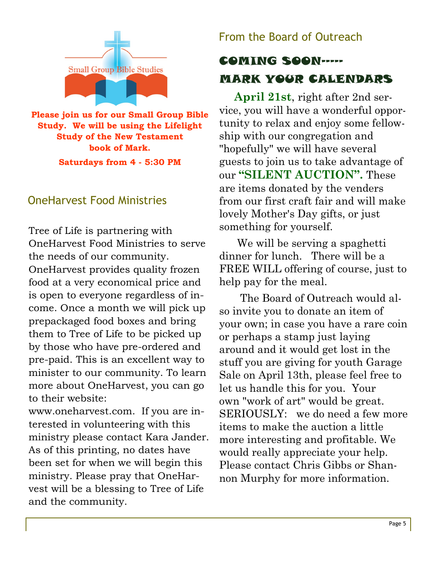

**Please join us for our Small Group Bible Study. We will be using the Lifelight Study of the New Testament book of Mark. Saturdays from 4 - 5:30 PM**

## OneHarvest Food Ministries

Tree of Life is partnering with OneHarvest Food Ministries to serve the needs of our community. OneHarvest provides quality frozen food at a very economical price and is open to everyone regardless of income. Once a month we will pick up prepackaged food boxes and bring them to Tree of Life to be picked up by those who have pre-ordered and pre-paid. This is an excellent way to minister to our community. To learn more about OneHarvest, you can go to their website:

www.oneharvest.com. If you are interested in volunteering with this ministry please contact Kara Jander. As of this printing, no dates have been set for when we will begin this ministry. Please pray that OneHarvest will be a blessing to Tree of Life and the community.

## From the Board of Outreach

## COMING SOON----- MARK YOUR CALENDARS

 **April 21st**, right after 2nd service, you will have a wonderful opportunity to relax and enjoy some fellowship with our congregation and "hopefully" we will have several guests to join us to take advantage of our **"SILENT AUCTION".** These are items donated by the venders from our first craft fair and will make lovely Mother's Day gifts, or just something for yourself.

We will be serving a spaghetti dinner for lunch. There will be a FREE WILL offering of course, just to help pay for the meal.

 The Board of Outreach would also invite you to donate an item of your own; in case you have a rare coin or perhaps a stamp just laying around and it would get lost in the stuff you are giving for youth Garage Sale on April 13th, please feel free to let us handle this for you. Your own "work of art" would be great. SERIOUSLY: we do need a few more items to make the auction a little more interesting and profitable. We would really appreciate your help. Please contact Chris Gibbs or Shannon Murphy for more information.